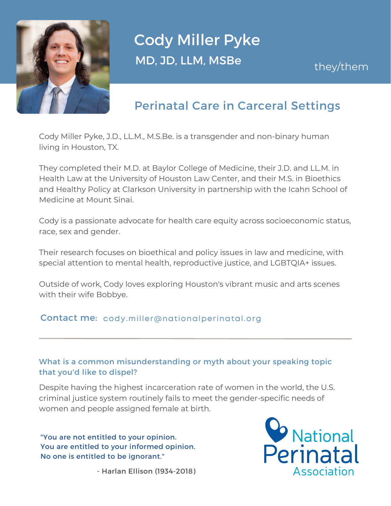

# Cody Miller Pyke MD, JD, LLM, MSBe

## Perinatal Care in Carceral Settings

Cody Miller Pyke, J.D., LL.M., M.S.Be. is a transgender and non-binary human living in Houston, TX.

They completed their M.D. at Baylor College of Medicine, their J.D. and LL.M. in Health Law at the University of Houston Law Center, and their M.S. in Bioethics and Healthy Policy at Clarkson University in partnership with the Icahn School of Medicine at Mount Sinai.

Cody is a passionate advocate for health care equity across socioeconomic status, race, sex and gender.

Their research focuses on bioethical and policy issues in law and medicine, with special attention to mental health, reproductive justice, and LGBTQIA+ issues.

Outside of work, Cody loves exploring Houston's vibrant music and arts scenes with their wife Bobbye.

#### Contact me: cody.miller@nationalperinatal.org

#### What is a common misunderstanding or myth about your speaking topic that you'd like to dispel?

Despite having the highest incarceration rate of women in the world, the U.S. criminal justice system routinely fails to meet the gender-specific needs of women and people assigned female at birth.

"You are not entitled to your opinion. You are entitled to your informed opinion. No one is entitled to be ignorant."



- Harlan Ellison (1934-2018)